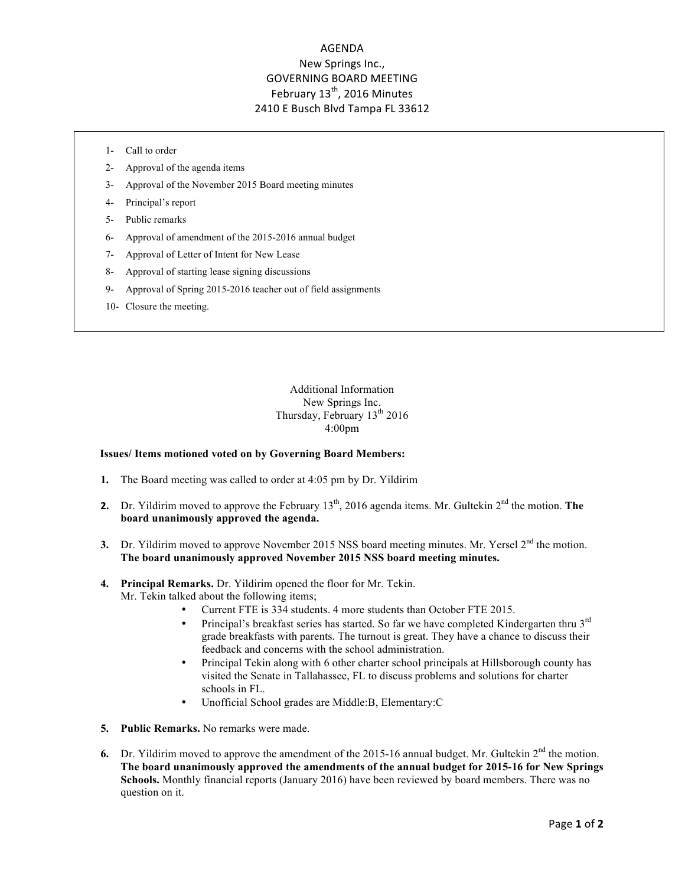## AGENDA New Springs Inc., **GOVERNING BOARD MEETING** February 13<sup>th</sup>, 2016 Minutes 2410 E Busch Blvd Tampa FL 33612

- 1- Call to order
- 2- Approval of the agenda items
- 3- Approval of the November 2015 Board meeting minutes
- 4- Principal's report
- 5- Public remarks
- 6- Approval of amendment of the 2015-2016 annual budget
- 7- Approval of Letter of Intent for New Lease
- 8- Approval of starting lease signing discussions
- 9- Approval of Spring 2015-2016 teacher out of field assignments
- 10- Closure the meeting.

Additional Information New Springs Inc. Thursday, February  $13<sup>th</sup> 2016$ 4:00pm

## **Issues/ Items motioned voted on by Governing Board Members:**

- **1.** The Board meeting was called to order at 4:05 pm by Dr. Yildirim
- **2.** Dr. Yildirim moved to approve the February  $13<sup>th</sup>$ , 2016 agenda items. Mr. Gultekin  $2<sup>nd</sup>$  the motion. **The board unanimously approved the agenda.**
- **3.** Dr. Yildirim moved to approve November 2015 NSS board meeting minutes. Mr. Yersel  $2<sup>nd</sup>$  the motion. **The board unanimously approved November 2015 NSS board meeting minutes.**

## **4. Principal Remarks.** Dr. Yildirim opened the floor for Mr. Tekin. Mr. Tekin talked about the following items;

- Current FTE is 334 students. 4 more students than October FTE 2015.
- Principal's breakfast series has started. So far we have completed Kindergarten thru 3rd grade breakfasts with parents. The turnout is great. They have a chance to discuss their feedback and concerns with the school administration.
- Principal Tekin along with 6 other charter school principals at Hillsborough county has visited the Senate in Tallahassee, FL to discuss problems and solutions for charter schools in FL.
- Unofficial School grades are Middle:B, Elementary:C
- **5. Public Remarks.** No remarks were made.
- **6.** Dr. Yildirim moved to approve the amendment of the 2015-16 annual budget. Mr. Gultekin  $2^{nd}$  the motion. **The board unanimously approved the amendments of the annual budget for 2015-16 for New Springs Schools.** Monthly financial reports (January 2016) have been reviewed by board members. There was no question on it.